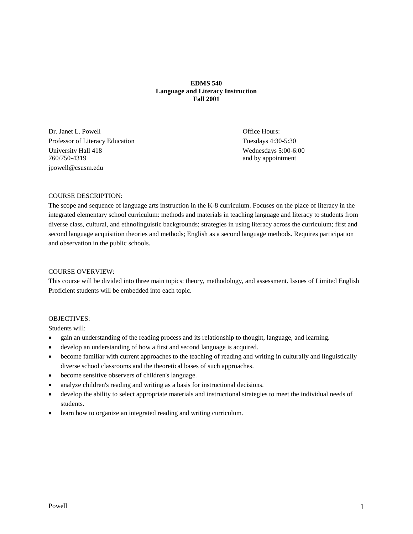# **EDMS 540 Language and Literacy Instruction Fall 2001**

Dr. Janet L. Powell **Office Hours:** Office Hours: Professor of Literacy Education Tuesdays 4:30-5:30 University Hall 418 Wednesdays 5:00-6:00 760/750-4319 and by appointment jpowell@csusm.edu

# COURSE DESCRIPTION:

The scope and sequence of language arts instruction in the K-8 curriculum. Focuses on the place of literacy in the integrated elementary school curriculum: methods and materials in teaching language and literacy to students from diverse class, cultural, and ethnolinguistic backgrounds; strategies in using literacy across the curriculum; first and second language acquisition theories and methods; English as a second language methods. Requires participation and observation in the public schools.

# COURSE OVERVIEW:

This course will be divided into three main topics: theory, methodology, and assessment. Issues of Limited English Proficient students will be embedded into each topic.

# OBJECTIVES:

Students will:

- gain an understanding of the reading process and its relationship to thought, language, and learning.
- develop an understanding of how a first and second language is acquired.
- become familiar with current approaches to the teaching of reading and writing in culturally and linguistically diverse school classrooms and the theoretical bases of such approaches.
- become sensitive observers of children's language.
- analyze children's reading and writing as a basis for instructional decisions.
- develop the ability to select appropriate materials and instructional strategies to meet the individual needs of students.
- learn how to organize an integrated reading and writing curriculum.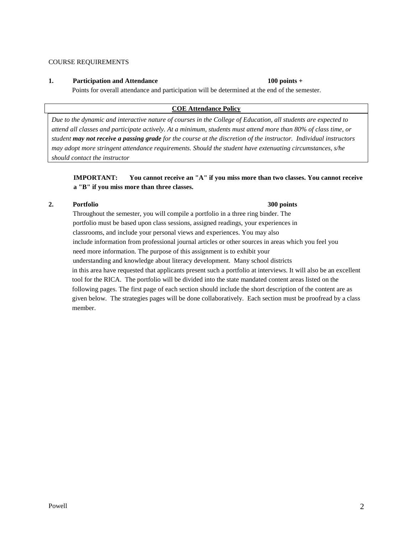COURSE REQUIREMENTS

# **1. Participation and Attendance 100 points +**

Points for overall attendance and participation will be determined at the end of the semester.

# **COE Attendance Policy**

*Due to the dynamic and interactive nature of courses in the College of Education, all students are expected to attend all classes and participate actively. At a minimum, students must attend more than 80% of class time, or student may not receive a passing grade for the course at the discretion of the instructor. Individual instructors may adopt more stringent attendance requirements. Should the student have extenuating circumstances, s/he should contact the instructor*

# **IMPORTANT: You cannot receive an "A" if you miss more than two classes. You cannot receive a "B" if you miss more than three classes.**

# **2. Portfolio 300 points**

Throughout the semester, you will compile a portfolio in a three ring binder. The portfolio must be based upon class sessions, assigned readings, your experiences in classrooms, and include your personal views and experiences. You may also include information from professional journal articles or other sources in areas which you feel you need more information. The purpose of this assignment is to exhibit your understanding and knowledge about literacy development. Many school districts in this area have requested that applicants present such a portfolio at interviews. It will also be an excellent tool for the RICA. The portfolio will be divided into the state mandated content areas listed on the following pages. The first page of each section should include the short description of the content are as given below. The strategies pages will be done collaboratively. Each section must be proofread by a class member.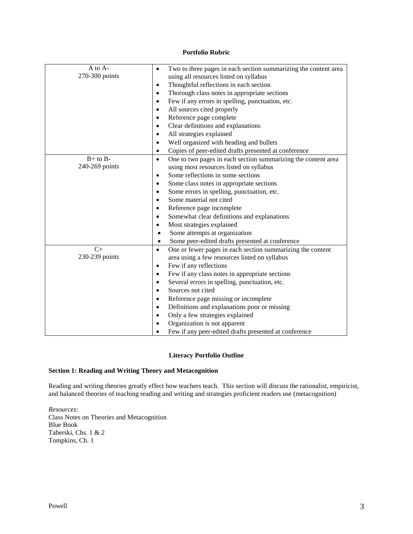# **Portfolio Rubric**

| $A$ to $A-$    | Two to three pages in each section summarizing the content area<br>٠       |  |  |
|----------------|----------------------------------------------------------------------------|--|--|
| 270-300 points | using all resources listed on syllabus                                     |  |  |
|                | Thoughtful reflections in each section<br>$\bullet$                        |  |  |
|                | Thorough class notes in appropriate sections<br>$\bullet$                  |  |  |
|                | Few if any errors in spelling, punctuation, etc.<br>$\bullet$              |  |  |
|                | All sources cited properly<br>$\bullet$                                    |  |  |
|                | Reference page complete<br>٠                                               |  |  |
|                | Clear definitions and explanations<br>$\bullet$                            |  |  |
|                | All strategies explained<br>$\bullet$                                      |  |  |
|                | Well organized with heading and bullets<br>$\bullet$                       |  |  |
|                | Copies of peer-edited drafts presented at conference<br>٠                  |  |  |
| $B+$ to $B-$   | One to two pages in each section summarizing the content area<br>$\bullet$ |  |  |
| 240-269 points | using most resources listed on syllabus                                    |  |  |
|                | Some reflections in some sections<br>$\bullet$                             |  |  |
|                | Some class notes in appropriate sections<br>٠                              |  |  |
|                | Some errors in spelling, punctuation, etc.<br>$\bullet$                    |  |  |
|                | Some material not cited<br>$\bullet$                                       |  |  |
|                | Reference page incomplete<br>$\bullet$                                     |  |  |
|                | Somewhat clear definitions and explanations<br>٠                           |  |  |
|                | Most strategies explained<br>$\bullet$                                     |  |  |
|                | Some attempts at organization                                              |  |  |
|                | Some peer-edited drafts presented at conference                            |  |  |
| $C+$           | One or fewer pages in each section summarizing the content<br>$\bullet$    |  |  |
| 230-239 points | area using a few resources listed on syllabus                              |  |  |
|                | Few if any reflections<br>$\bullet$                                        |  |  |
|                | Few if any class notes in appropriate sections<br>٠                        |  |  |
|                | Several errors in spelling, punctuation, etc.<br>$\bullet$                 |  |  |
|                | Sources not cited<br>$\bullet$                                             |  |  |
|                | Reference page missing or incomplete<br>$\bullet$                          |  |  |
|                | Definitions and explanations poor or missing<br>$\bullet$                  |  |  |
|                | Only a few strategies explained                                            |  |  |
|                | Organization is not apparent                                               |  |  |
|                | Few if any peer-edited drafts presented at conference                      |  |  |
|                |                                                                            |  |  |

# **Literacy Portfolio Outline**

# **Section 1: Reading and Writing Theory and Metacognition**

Reading and writing theories greatly effect how teachers teach. This section will discuss the rationalist, empiricist, and balanced theories of teaching reading and writing and strategies proficient readers use (metacognition)

*Resources:* Class Notes on Theories and Metacognition Blue Book Taberski, Chs. 1 & 2 Tompkins, Ch. 1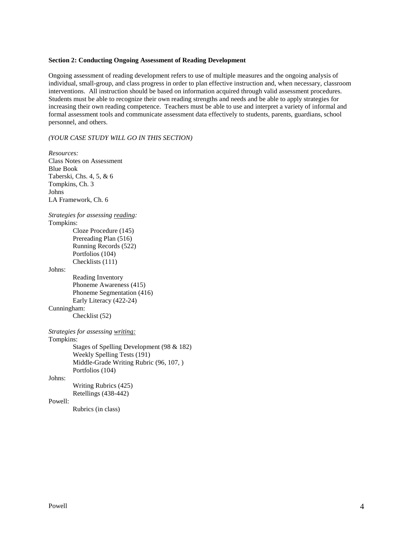#### **Section 2: Conducting Ongoing Assessment of Reading Development**

Ongoing assessment of reading development refers to use of multiple measures and the ongoing analysis of individual, small-group, and class progress in order to plan effective instruction and, when necessary, classroom interventions. All instruction should be based on information acquired through valid assessment procedures. Students must be able to recognize their own reading strengths and needs and be able to apply strategies for increasing their own reading competence. Teachers must be able to use and interpret a variety of informal and formal assessment tools and communicate assessment data effectively to students, parents, guardians, school personnel, and others.

*(YOUR CASE STUDY WILL GO IN THIS SECTION)*

*Resources:* Class Notes on Assessment Blue Book Taberski, Chs. 4, 5, & 6 Tompkins, Ch. 3 Johns LA Framework, Ch. 6 *Strategies for assessing reading:* Tompkins: Cloze Procedure (145) Prereading Plan (516) Running Records (522) Portfolios (104) Checklists (111) Johns: Reading Inventory Phoneme Awareness (415) Phoneme Segmentation (416) Early Literacy (422-24) Cunningham: Checklist (52) *Strategies for assessing writing:* Tompkins: Stages of Spelling Development (98 & 182) Weekly Spelling Tests (191) Middle-Grade Writing Rubric (96, 107, ) Portfolios (104) Johns: Writing Rubrics (425) Retellings (438-442) Powell: Rubrics (in class)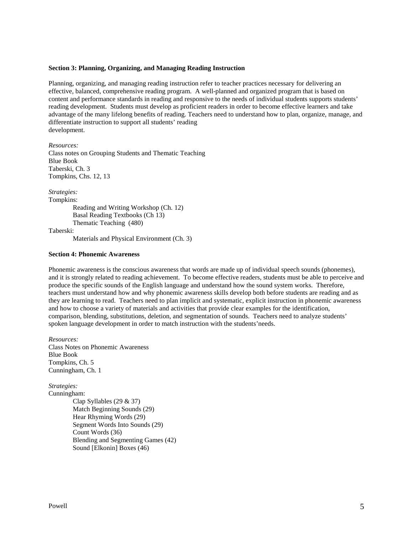#### **Section 3: Planning, Organizing, and Managing Reading Instruction**

Planning, organizing, and managing reading instruction refer to teacher practices necessary for delivering an effective, balanced, comprehensive reading program. A well-planned and organized program that is based on content and performance standards in reading and responsive to the needs of individual students supports students' reading development. Students must develop as proficient readers in order to become effective learners and take advantage of the many lifelong benefits of reading. Teachers need to understand how to plan, organize, manage, and differentiate instruction to support all students' reading development.

*Resources:* Class notes on Grouping Students and Thematic Teaching Blue Book Taberski, Ch. 3 Tompkins, Chs. 12, 13

*Strategies:* Tompkins: Reading and Writing Workshop (Ch. 12) Basal Reading Textbooks (Ch 13) Thematic Teaching (480)

Taberski:

Materials and Physical Environment (Ch. 3)

#### **Section 4: Phonemic Awareness**

Phonemic awareness is the conscious awareness that words are made up of individual speech sounds (phonemes), and it is strongly related to reading achievement. To become effective readers, students must be able to perceive and produce the specific sounds of the English language and understand how the sound system works. Therefore, teachers must understand how and why phonemic awareness skills develop both before students are reading and as they are learning to read. Teachers need to plan implicit and systematic, explicit instruction in phonemic awareness and how to choose a variety of materials and activities that provide clear examples for the identification, comparison, blending, substitutions, deletion, and segmentation of sounds. Teachers need to analyze students' spoken language development in order to match instruction with the students'needs.

*Resources:* Class Notes on Phonemic Awareness Blue Book Tompkins, Ch. 5 Cunningham, Ch. 1

*Strategies:*

Cunningham: Clap Syllables (29 & 37) Match Beginning Sounds (29) Hear Rhyming Words (29) Segment Words Into Sounds (29) Count Words (36) Blending and Segmenting Games (42) Sound [Elkonin] Boxes (46)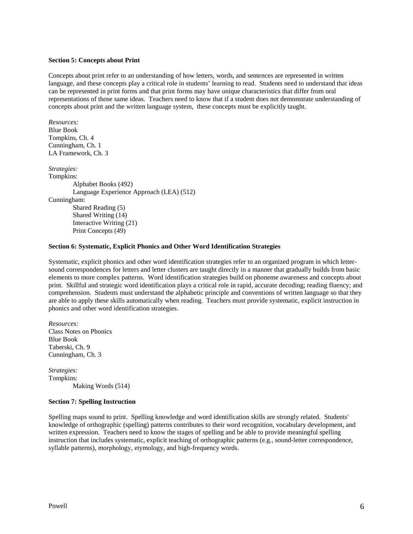### **Section 5: Concepts about Print**

Concepts about print refer to an understanding of how letters, words, and sentences are represented in written language, and these concepts play a critical role in students' learning to read. Students need to understand that ideas can be represented in print forms and that print forms may have unique characteristics that differ from oral representations of those same ideas. Teachers need to know that if a student does not demonstrate understanding of concepts about print and the written language system, these concepts must be explicitly taught.

*Resources:* Blue Book Tompkins, Ch. 4 Cunningham, Ch. 1 LA Framework, Ch. 3

*Strategies:* Tompkins: Alphabet Books (492) Language Experience Approach (LEA) (512) Cunningham: Shared Reading (5) Shared Writing (14) Interactive Writing (21) Print Concepts (49)

#### **Section 6: Systematic, Explicit Phonics and Other Word Identification Strategies**

Systematic, explicit phonics and other word identification strategies refer to an organized program in which lettersound correspondences for letters and letter clusters are taught directly in a manner that gradually builds from basic elements to more complex patterns. Word identification strategies build on phoneme awareness and concepts about print. Skillful and strategic word identification plays a critical role in rapid, accurate decoding; reading fluency; and comprehension. Students must understand the alphabetic principle and conventions of written language so that they are able to apply these skills automatically when reading. Teachers must provide systematic, explicit instruction in phonics and other word identification strategies.

*Resources:* Class Notes on Phonics Blue Book Taberski, Ch. 9 Cunningham, Ch. 3

*Strategies:* Tompkins: Making Words (514)

## **Section 7: Spelling Instruction**

Spelling maps sound to print. Spelling knowledge and word identification skills are strongly related. Students' knowledge of orthographic (spelling) patterns contributes to their word recognition, vocabulary development, and written expression. Teachers need to know the stages of spelling and be able to provide meaningful spelling instruction that includes systematic, explicit teaching of orthographic patterns (e.g., sound-letter correspondence, syllable patterns), morphology, etymology, and high-frequency words.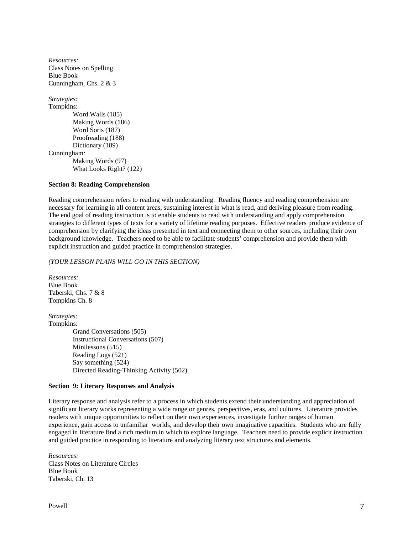*Resources:* Class Notes on Spelling Blue Book Cunningham, Chs. 2 & 3

*Strategies:* Tompkins: Word Walls (185) Making Words (186) Word Sorts (187) Proofreading (188) Dictionary (189) Cunningham*:* Making Words (97) What Looks Right? (122)

# **Section 8: Reading Comprehension**

Reading comprehension refers to reading with understanding. Reading fluency and reading comprehension are necessary for learning in all content areas, sustaining interest in what is read, and deriving pleasure from reading. The end goal of reading instruction is to enable students to read with understanding and apply comprehension strategies to different types of texts for a variety of lifetime reading purposes. Effective readers produce evidence of comprehension by clarifying the ideas presented in text and connecting them to other sources, including their own background knowledge. Teachers need to be able to facilitate students' comprehension and provide them with explicit instruction and guided practice in comprehension strategies.

# *(YOUR LESSON PLANS WILL GO IN THIS SECTION)*

*Resources:* Blue Book Taberski, Chs. 7 & 8 Tompkins Ch. 8

*Strategies:* Tompkins: Grand Conversations (505) Instructional Conversations (507) Minilessons (515) Reading Logs (521) Say something (524) Directed Reading-Thinking Activity (502)

## **Section 9: Literary Responses and Analysis**

Literary response and analysis refer to a process in which students extend their understanding and appreciation of significant literary works representing a wide range or genres, perspectives, eras, and cultures. Literature provides readers with unique opportunities to reflect on their own experiences, investigate further ranges of human experience, gain access to unfamiliar worlds, and develop their own imaginative capacities. Students who are fully engaged in literature find a rich medium in which to explore language. Teachers need to provide explicit instruction and guided practice in responding to literature and analyzing literary text structures and elements.

*Resources:*  Class Notes on Literature Circles Blue Book Taberski, Ch. 13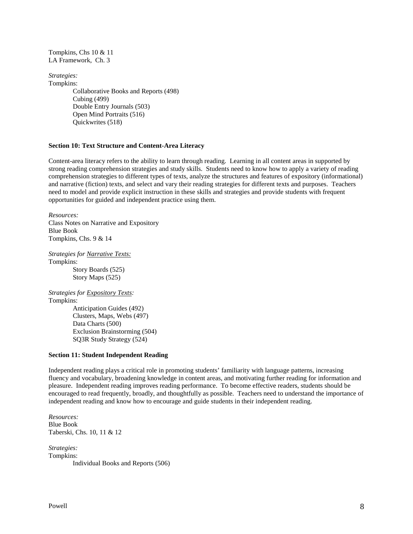Tompkins, Chs 10 & 11 LA Framework, Ch. 3

*Strategies:* Tompkins: Collaborative Books and Reports (498) Cubing (499) Double Entry Journals (503) Open Mind Portraits (516) Quickwrites (518)

### **Section 10: Text Structure and Content-Area Literacy**

Content-area literacy refers to the ability to learn through reading. Learning in all content areas in supported by strong reading comprehension strategies and study skills. Students need to know how to apply a variety of reading comprehension strategies to different types of texts, analyze the structures and features of expository (informational) and narrative (fiction) texts, and select and vary their reading strategies for different texts and purposes. Teachers need to model and provide explicit instruction in these skills and strategies and provide students with frequent opportunities for guided and independent practice using them.

*Resources:* Class Notes on Narrative and Expository Blue Book Tompkins, Chs. 9 & 14

*Strategies for Narrative Texts:* Tompkins: Story Boards (525) Story Maps (525)

*Strategies for Expository Texts:* Tompkins: Anticipation Guides (492) Clusters, Maps, Webs (497) Data Charts (500) Exclusion Brainstorming (504) SQ3R Study Strategy (524)

### **Section 11: Student Independent Reading**

Independent reading plays a critical role in promoting students' familiarity with language patterns, increasing fluency and vocabulary, broadening knowledge in content areas, and motivating further reading for information and pleasure. Independent reading improves reading performance. To become effective readers, students should be encouraged to read frequently, broadly, and thoughtfully as possible. Teachers need to understand the importance of independent reading and know how to encourage and guide students in their independent reading.

*Resources:* Blue Book Taberski, Chs. 10, 11 & 12

*Strategies:* Tompkins: Individual Books and Reports (506)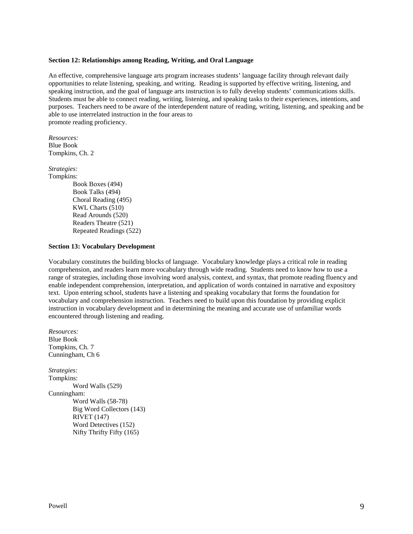#### **Section 12: Relationships among Reading, Writing, and Oral Language**

An effective, comprehensive language arts program increases students' language facility through relevant daily opportunities to relate listening, speaking, and writing. Reading is supported by effective writing, listening, and speaking instruction, and the goal of language arts instruction is to fully develop students' communications skills. Students must be able to connect reading, writing, listening, and speaking tasks to their experiences, intentions, and purposes. Teachers need to be aware of the interdependent nature of reading, writing, listening, and speaking and be able to use interrelated instruction in the four areas to promote reading proficiency.

*Resources:* Blue Book Tompkins, Ch. 2

*Strategies:* Tompkins: Book Boxes (494) Book Talks (494) Choral Reading (495) KWL Charts (510) Read Arounds (520) Readers Theatre (521)

#### **Section 13: Vocabulary Development**

Repeated Readings (522)

Vocabulary constitutes the building blocks of language. Vocabulary knowledge plays a critical role in reading comprehension, and readers learn more vocabulary through wide reading. Students need to know how to use a range of strategies, including those involving word analysis, context, and syntax, that promote reading fluency and enable independent comprehension, interpretation, and application of words contained in narrative and expository text. Upon entering school, students have a listening and speaking vocabulary that forms the foundation for vocabulary and comprehension instruction. Teachers need to build upon this foundation by providing explicit instruction in vocabulary development and in determining the meaning and accurate use of unfamiliar words encountered through listening and reading.

*Resources:* Blue Book Tompkins, Ch. 7 Cunningham, Ch 6 *Strategies:* Tompkins: Word Walls (529) Cunningham: Word Walls (58-78) Big Word Collectors (143) RIVET (147) Word Detectives (152) Nifty Thrifty Fifty (165)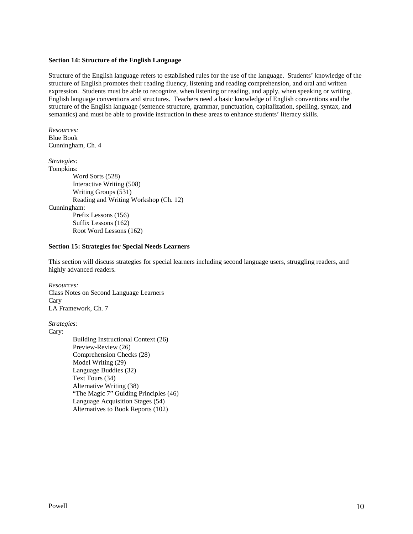### **Section 14: Structure of the English Language**

Structure of the English language refers to established rules for the use of the language. Students' knowledge of the structure of English promotes their reading fluency, listening and reading comprehension, and oral and written expression. Students must be able to recognize, when listening or reading, and apply, when speaking or writing, English language conventions and structures. Teachers need a basic knowledge of English conventions and the structure of the English language (sentence structure, grammar, punctuation, capitalization, spelling, syntax, and semantics) and must be able to provide instruction in these areas to enhance students' literacy skills.

*Resources:* Blue Book Cunningham, Ch. 4 *Strategies:* Tompkins: Word Sorts (528)

Interactive Writing (508) Writing Groups (531) Reading and Writing Workshop (Ch. 12) Cunningham: Prefix Lessons (156) Suffix Lessons (162) Root Word Lessons (162)

### **Section 15: Strategies for Special Needs Learners**

This section will discuss strategies for special learners including second language users, struggling readers, and highly advanced readers.

*Resources:* Class Notes on Second Language Learners Cary LA Framework, Ch. 7

*Strategies:*

Cary:

Building Instructional Context (26) Preview-Review (26) Comprehension Checks (28) Model Writing (29) Language Buddies (32) Text Tours (34) Alternative Writing (38) "The Magic 7" Guiding Principles (46) Language Acquisition Stages (54) Alternatives to Book Reports (102)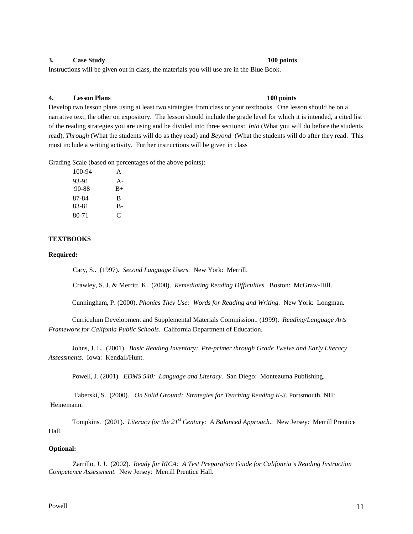## **3. Case Study 100 points**

Instructions will be given out in class, the materials you will use are in the Blue Book.

#### **4. Lesson Plans 100 points**

Develop two lesson plans using at least two strategies from class or your textbooks. One lesson should be on a narrative text, the other on expository. The lesson should include the grade level for which it is intended, a cited list of the reading strategies you are using and be divided into three sections: *Into* (What you will do before the students read), *Through* (What the students will do as they read) and *Beyond* (What the students will do after they read. This must include a writing activity. Further instructions will be given in class

Grading Scale (based on percentages of the above points):

| 100-94 | A     |
|--------|-------|
| 93-91  | $A -$ |
| 90-88  | $B+$  |
| 87-84  | R     |
| 83-81  | B-    |
| 80-71  | C     |
|        |       |

# **TEXTBOOKS**

#### **Required:**

Cary, S.. (1997). *Second Language Users.* New York: Merrill.

Crawley, S. J. & Merritt, K. (2000). *Remediating Reading Difficulties.* Boston: McGraw-Hill.

Cunningham, P. (2000). *Phonics They Use: Words for Reading and Writing.* New York: Longman.

Curriculum Development and Supplemental Materials Commission.. (1999). *Reading/Language Arts Framework for Califonia Public Schools.* California Department of Education.

Johns, J. L. (2001). *Basic Reading Inventory: Pre-primer through Grade Twelve and Early Literacy Assessments.* Iowa: Kendall/Hunt.

Powell, J. (2001). *EDMS 540: Language and Literacy.* San Diego: Montezuma Publishing.

Taberski, S. (2000). *On Solid Ground: Strategies for Teaching Reading K-3.* Portsmouth, NH: Heinemann.

Tompkins. (2001). *Literacy for the 21st Century: A Balanced Approach..* New Jersey: Merrill Prentice Hall.

# **Optional:**

Zarrillo, J. J. (2002). *Ready for RICA: A Test Preparation Guide for Califonria's Reading Instruction Competence Assessment.* New Jersey: Merrill Prentice Hall.